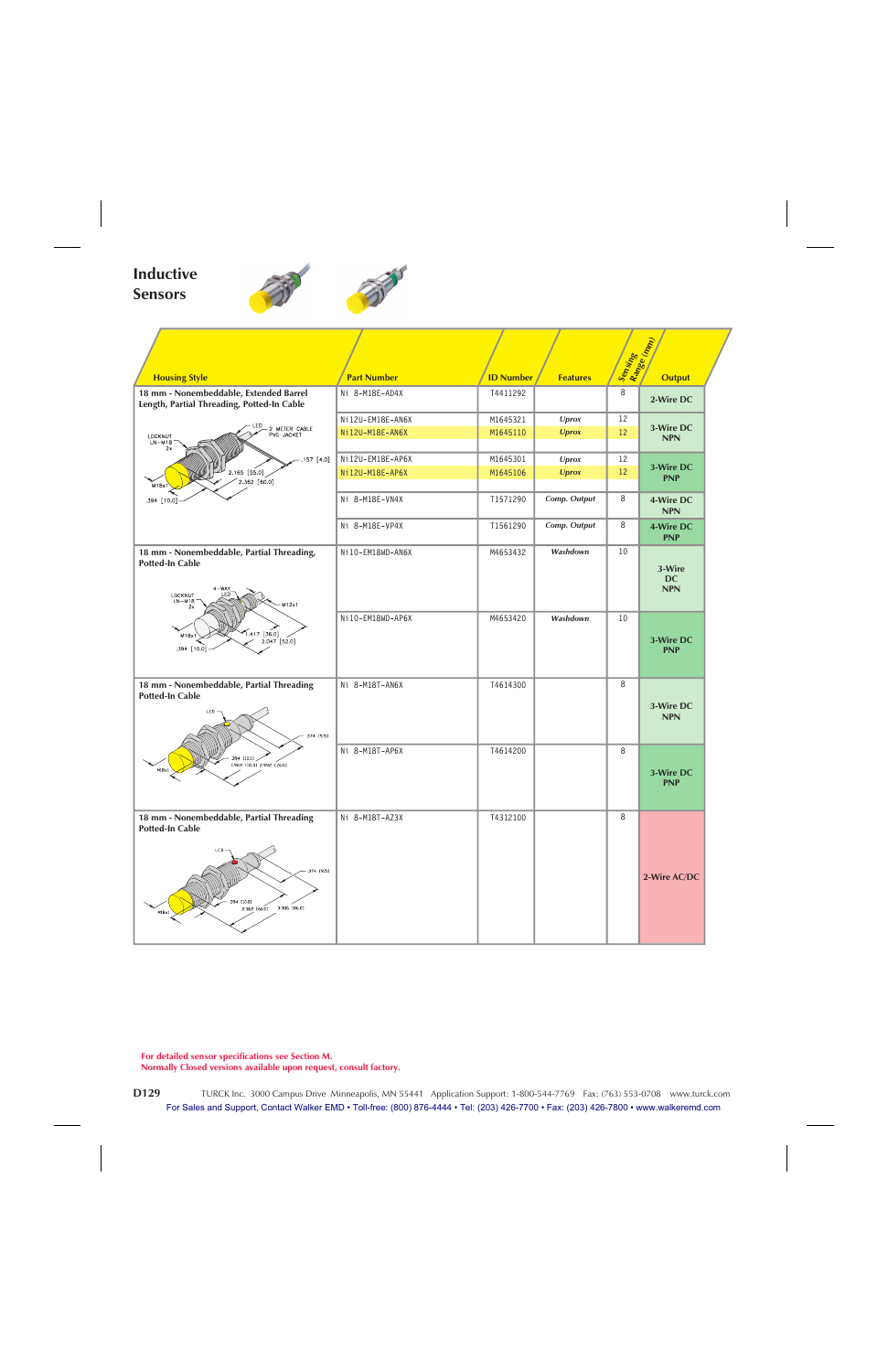## **Inductive Sensors**



|                                                                                                            |                                     |                          |                              | Sensing<br>Range (mm) |                                   |  |  |
|------------------------------------------------------------------------------------------------------------|-------------------------------------|--------------------------|------------------------------|-----------------------|-----------------------------------|--|--|
|                                                                                                            |                                     |                          |                              |                       |                                   |  |  |
| <b>Housing Style</b>                                                                                       | <b>Part Number</b>                  | <b>ID Number</b>         | <b>Features</b>              |                       | <b>Output</b>                     |  |  |
| 18 mm - Nonembeddable, Extended Barrel<br>Length, Partial Threading, Potted-In Cable                       | Ni 8-M18E-AD4X                      | T4411292                 |                              | 8                     | 2-Wire DC                         |  |  |
| LED                                                                                                        | Ni12U-EM18E-AN6X                    | M1645321                 | Uprox                        | 12<br>12              | 3-Wire DC                         |  |  |
| 2 METER CABLE<br>PVC JACKET<br>LOCKNUT<br>$LN-M18$                                                         | Ni12U-M18E-AN6X                     | M1645110<br><b>Uprox</b> |                              |                       |                                   |  |  |
| 2x                                                                                                         |                                     |                          |                              |                       |                                   |  |  |
| .157 [4.0]<br>$2.165$ [55.0]                                                                               | Ni12U-EM18E-AP6X<br>Ni12U-M18E-AP6X | M1645301<br>M1645106     | <b>Uprox</b><br><b>Uprox</b> | 12<br>12              | 3-Wire DC                         |  |  |
| 2.362 [60.0]<br>M <sub>18x1</sub>                                                                          |                                     |                          |                              |                       | <b>PNP</b>                        |  |  |
| .394 [10.0]                                                                                                | Ni 8-M18E-VN4X                      | T1571290                 | Comp. Output                 | 8                     | 4-Wire DC<br><b>NPN</b>           |  |  |
|                                                                                                            | Ni 8-M18E-VP4X                      | T1561290                 | Comp. Output                 | 8                     | 4-Wire DC<br><b>PNP</b>           |  |  |
| 18 mm - Nonembeddable, Partial Threading,                                                                  | Ni10-EM18WD-AN6X                    | M4653432                 | Washdown                     | 10                    |                                   |  |  |
| <b>Potted-In Cable</b><br>$4 - WAY$<br>LOCKNUT<br>FD<br>$LN-M18$<br>M12x1<br>2x                            |                                     |                          |                              |                       | 3-Wire<br><b>DC</b><br><b>NPN</b> |  |  |
| $1.417$ [36.0]<br>M18x<br>2.047 [52.0]<br>.394 [10.0]                                                      | Ni10-EM18WD-AP6X                    | M4653420                 | Washdown                     | 10                    | 3-Wire DC<br><b>PNP</b>           |  |  |
| 18 mm - Nonembeddable, Partial Threading                                                                   | Ni 8-M18T-AN6X                      | T4614300                 |                              | 8                     |                                   |  |  |
| <b>Potted-In Cable</b><br>LED<br>.374 [9.5]                                                                |                                     |                          |                              |                       | 3-Wire DC<br><b>NPN</b>           |  |  |
|                                                                                                            | Ni 8-M18T-AP6X                      | T4614200                 |                              | 8                     |                                   |  |  |
| 394 [10.0]<br>1.969 [50.0] 2.992 [76.0]<br>$M18\times1$                                                    |                                     |                          |                              |                       | 3-Wire DC<br><b>PNP</b>           |  |  |
| 18 mm - Nonembeddable, Partial Threading                                                                   | Ni 8-M18T-AZ3X                      | T4312100                 |                              | 8                     |                                   |  |  |
| <b>Potted-In Cable</b><br>LED<br>.374 [9.5]<br>.394 [10.0]<br>3.386 [86.0]<br>2.362 160.01<br>$M18\times1$ |                                     |                          |                              |                       | 2-Wire AC/DC                      |  |  |

**For detailed sensor specifications see Section M.**

**Normally Closed versions available upon request, consult factory.**